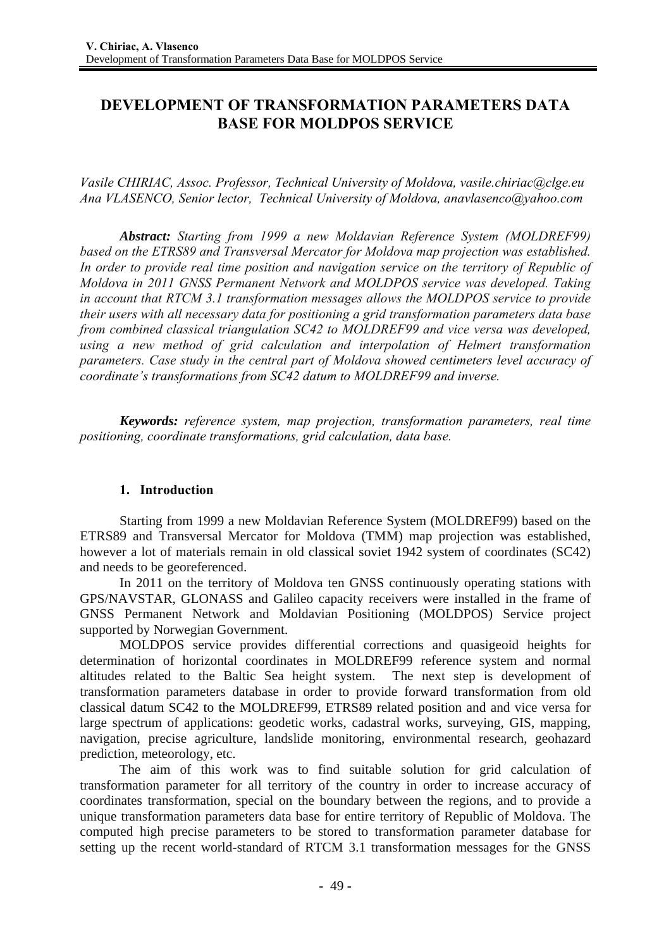# **DEVELOPMENT OF TRANSFORMATION PARAMETERS DATA BASE FOR MOLDPOS SERVICE**

*Vasile CHIRIAC, Assoc. Professor, Technical University of Moldova, vasile.chiriac@clge.eu Ana VLASENCO, Senior lector, Technical University of Moldova, anavlasenco@yahoo.com* 

*Abstract: Starting from 1999 a new Moldavian Reference System (MOLDREF99) based on the ETRS89 and Transversal Mercator for Moldova map projection was established. In order to provide real time position and navigation service on the territory of Republic of Moldova in 2011 GNSS Permanent Network and MOLDPOS service was developed. Taking in account that RTCM 3.1 transformation messages allows the MOLDPOS service to provide their users with all necessary data for positioning a grid transformation parameters data base from combined classical triangulation SC42 to MOLDREF99 and vice versa was developed, using a new method of grid calculation and interpolation of Helmert transformation parameters. Case study in the central part of Moldova showed centimeters level accuracy of coordinate's transformations from SC42 datum to MOLDREF99 and inverse.* 

*Keywords: reference system, map projection, transformation parameters, real time positioning, coordinate transformations, grid calculation, data base.* 

### **1. Introduction**

Starting from 1999 a new Moldavian Reference System (MOLDREF99) based on the ETRS89 and Transversal Mercator for Moldova (TMM) map projection was established, however a lot of materials remain in old classical soviet 1942 system of coordinates (SC42) and needs to be georeferenced.

In 2011 on the territory of Moldova ten GNSS continuously operating stations with GPS/NAVSTAR, GLONASS and Galileo capacity receivers were installed in the frame of GNSS Permanent Network and Moldavian Positioning (MOLDPOS) Service project supported by Norwegian Government.

MOLDPOS service provides differential corrections and quasigeoid heights for determination of horizontal coordinates in MOLDREF99 reference system and normal altitudes related to the Baltic Sea height system. The next step is development of transformation parameters database in order to provide forward transformation from old classical datum SC42 to the MOLDREF99, ETRS89 related position and and vice versa for large spectrum of applications: geodetic works, cadastral works, surveying, GIS, mapping, navigation, precise agriculture, landslide monitoring, environmental research, geohazard prediction, meteorology, etc.

The aim of this work was to find suitable solution for grid calculation of transformation parameter for all territory of the country in order to increase accuracy of coordinates transformation, special on the boundary between the regions, and to provide a unique transformation parameters data base for entire territory of Republic of Moldova. The computed high precise parameters to be stored to transformation parameter database for setting up the recent world-standard of RTCM 3.1 transformation messages for the GNSS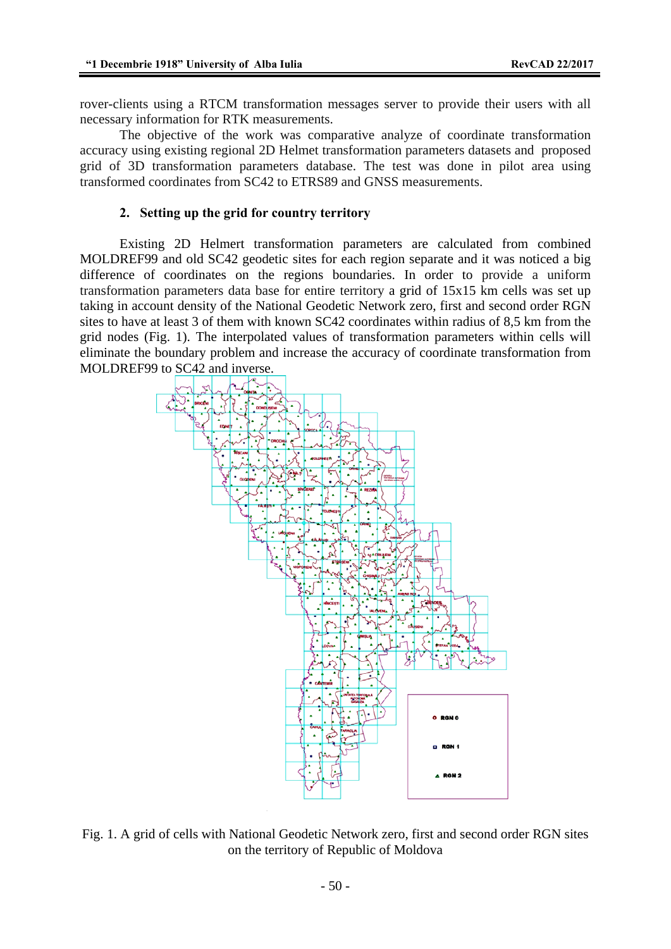rover-clients using a RTCM transformation messages server to provide their users with all necessary information for RTK measurements.

The objective of the work was comparative analyze of coordinate transformation accuracy using existing regional 2D Helmet transformation parameters datasets and proposed grid of 3D transformation parameters database. The test was done in pilot area using transformed coordinates from SC42 to ETRS89 and GNSS measurements.

#### **2. Setting up the grid for country territory**

Existing 2D Helmert transformation parameters are calculated from combined MOLDREF99 and old SC42 geodetic sites for each region separate and it was noticed a big difference of coordinates on the regions boundaries. In order to provide a uniform transformation parameters data base for entire territory a grid of 15x15 km cells was set up taking in account density of the National Geodetic Network zero, first and second order RGN sites to have at least 3 of them with known SC42 coordinates within radius of 8,5 km from the grid nodes (Fig. 1). The interpolated values of transformation parameters within cells will eliminate the boundary problem and increase the accuracy of coordinate transformation from MOLDREF99 to SC42 and inverse.



Fig. 1. A grid of cells with National Geodetic Network zero, first and second order RGN sites on the territory of Republic of Moldova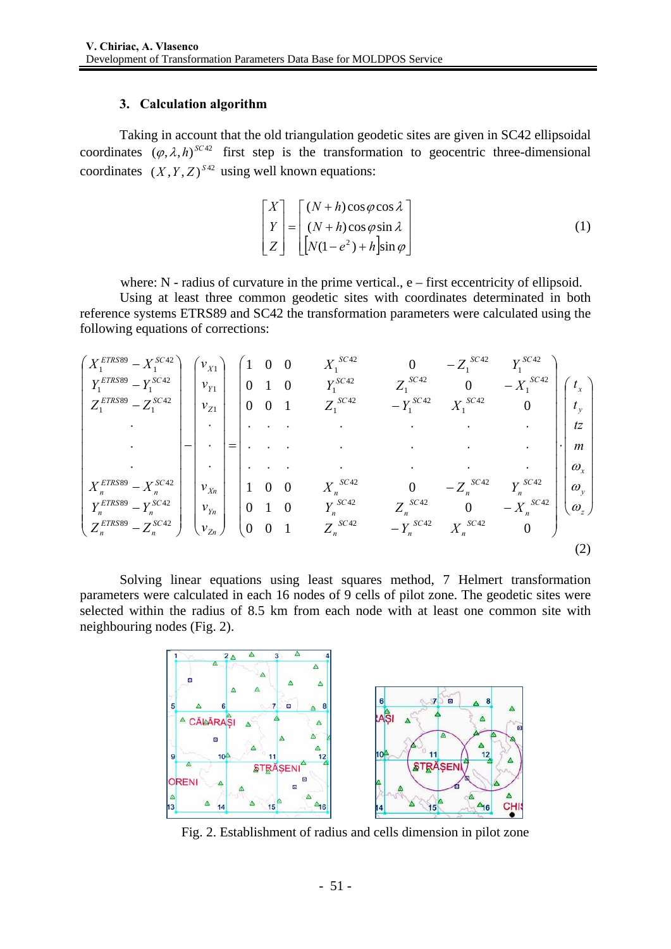### **3. Calculation algorithm**

Taking in account that the old triangulation geodetic sites are given in SC42 ellipsoidal coordinates  $(\varphi, \lambda, h)^{SC42}$  first step is the transformation to geocentric three-dimensional coordinates  $(X, Y, Z)^{S42}$  using well known equations:

$$
\begin{bmatrix} X \ Y \ Z \end{bmatrix} = \begin{bmatrix} (N+h)\cos\varphi\cos\lambda \\ (N+h)\cos\varphi\sin\lambda \\ [N(1-e^2)+h]\sin\varphi \end{bmatrix}
$$
 (1)

where: N - radius of curvature in the prime vertical., e – first eccentricity of ellipsoid.

 Using at least three common geodetic sites with coordinates determinated in both reference systems ETRS89 and SC42 the transformation parameters were calculated using the following equations of corrections:

⎟ ⎟ ⎟ ⎟ ⎟ ⎟ ⎟ ⎟ ⎟ ⎠ ⎞ ⎜ ⎜ ⎜ ⎜ ⎜ ⎜ ⎜ ⎜ ⎜ ⎝ ⎛ ⋅ ⎟ ⎟ ⎟ ⎟ ⎟ ⎟ ⎟ ⎟ ⎟ ⎟ ⎟ ⎟ ⎟ ⎠ ⎞ ⎜ ⎜ ⎜ ⎜ ⎜ ⎜ ⎜ ⎜ ⎜ ⎜ ⎜ ⎜ ⎜ ⎝ ⎛ − − − ⋅ ⋅ ⋅ ⋅ ⋅ ⋅ ⋅ ⋅ ⋅ ⋅ ⋅ ⋅ ⋅ ⋅ ⋅ ⋅ ⋅ ⋅ ⋅ ⋅ ⋅ − − − = ⎟ ⎟ ⎟ ⎟ ⎟ ⎟ ⎟ ⎟ ⎟ ⎟ ⎟ ⎟ ⎟ ⎠ ⎞ ⎜ ⎜ ⎜ ⎜ ⎜ ⎜ ⎜ ⎜ ⎜ ⎜ ⎜ ⎜ ⎜ ⎝ ⎛ ⋅ ⋅ ⋅ − ⎟ ⎟ ⎟ ⎟ ⎟ ⎟ ⎟ ⎟ ⎟ ⎟ ⎟ ⎟ ⎟ ⎠ ⎞ ⎜ ⎜ ⎜ ⎜ ⎜ ⎜ ⎜ ⎜ ⎜ ⎜ ⎜ ⎜ ⎜ ⎝ ⎛ − − − ⋅ ⋅ ⋅ − − − *z y x y x SC n SC n SC n SC n SC n SC n SC n SC n SC n SC SC SC SC SC SC SC SC SC Zn Yn Xn Z Y X SC n ETRS n SC n ETRS n SC n ETRS n ETRS SC ETRS SC ETRS SC m tz t t Z Y X Y Z X X Z Y Z Y X Y Z X X Z Y v v v v v v Z Z Y Y X X Z Z Y Y X X* ω ω ω 0 0 1 0 0 1 0 0 1 0 0 0 0 0 1 0 0 1 0 0 1 0 0 0 42 42 42 42 42 42 42 42 42 42 1 42 1 42 1 42 1 42 1 42 1 42 1 42 1 42 1 1 1 1 89 42 89 42 89 42 42 1 89 1 42 1 89 1 42 1 89 1 (2)

Solving linear equations using least squares method, 7 Helmert transformation parameters were calculated in each 16 nodes of 9 cells of pilot zone. The geodetic sites were selected within the radius of 8.5 km from each node with at least one common site with neighbouring nodes (Fig. 2).



Fig. 2. Establishment of radius and cells dimension in pilot zone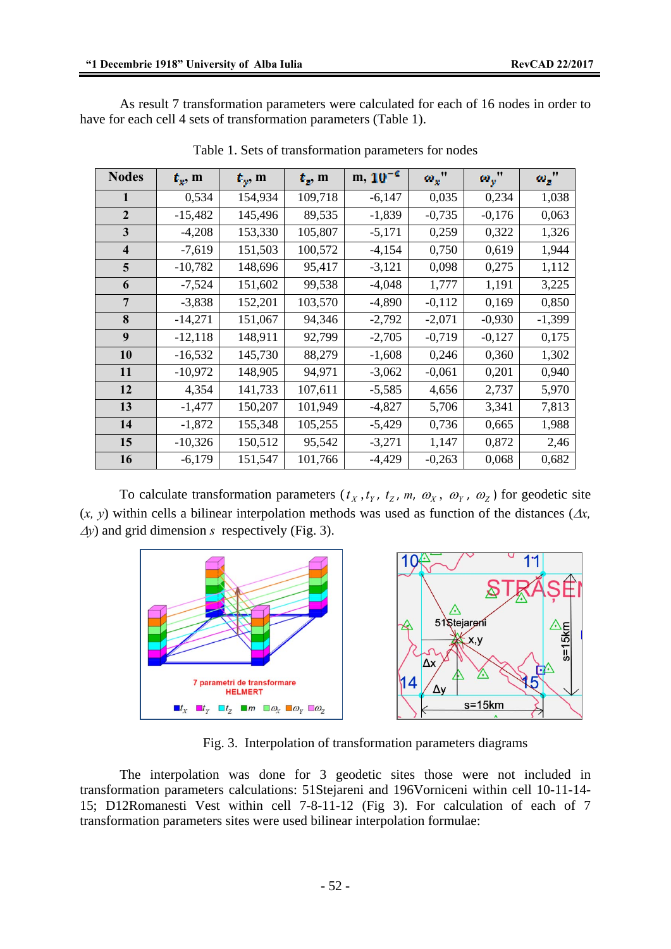As result 7 transformation parameters were calculated for each of 16 nodes in order to have for each cell 4 sets of transformation parameters (Table 1).

| <b>Nodes</b>            | $L_x$ , m | $L_{\nu}$ , m | $t_{z}$ , m | $m, 10^{-6}$ | $\omega_x$ " | $\omega_v$ " | $\omega_{x}$ " |
|-------------------------|-----------|---------------|-------------|--------------|--------------|--------------|----------------|
| $\mathbf{1}$            | 0,534     | 154,934       | 109,718     | $-6,147$     | 0,035        | 0,234        | 1,038          |
| $\overline{2}$          | $-15,482$ | 145,496       | 89,535      | $-1,839$     | $-0,735$     | $-0,176$     | 0,063          |
| 3                       | $-4,208$  | 153,330       | 105,807     | $-5,171$     | 0,259        | 0,322        | 1,326          |
| $\overline{\mathbf{4}}$ | $-7,619$  | 151,503       | 100,572     | $-4,154$     | 0,750        | 0,619        | 1,944          |
| 5                       | $-10,782$ | 148,696       | 95,417      | $-3,121$     | 0,098        | 0,275        | 1,112          |
| 6                       | $-7,524$  | 151,602       | 99,538      | $-4,048$     | 1,777        | 1,191        | 3,225          |
| 7                       | $-3,838$  | 152,201       | 103,570     | $-4,890$     | $-0,112$     | 0,169        | 0,850          |
| 8                       | $-14,271$ | 151,067       | 94,346      | $-2,792$     | $-2,071$     | $-0,930$     | $-1,399$       |
| 9                       | $-12,118$ | 148,911       | 92,799      | $-2,705$     | $-0,719$     | $-0,127$     | 0,175          |
| 10                      | $-16,532$ | 145,730       | 88,279      | $-1,608$     | 0,246        | 0,360        | 1,302          |
| 11                      | $-10,972$ | 148,905       | 94,971      | $-3,062$     | $-0,061$     | 0,201        | 0,940          |
| 12                      | 4,354     | 141,733       | 107,611     | $-5,585$     | 4,656        | 2,737        | 5,970          |
| 13                      | $-1,477$  | 150,207       | 101,949     | $-4,827$     | 5,706        | 3,341        | 7,813          |
| 14                      | $-1,872$  | 155,348       | 105,255     | $-5,429$     | 0,736        | 0,665        | 1,988          |
| 15                      | $-10,326$ | 150,512       | 95,542      | $-3,271$     | 1,147        | 0,872        | 2,46           |
| 16                      | $-6,179$  | 151,547       | 101,766     | -4,429       | $-0,263$     | 0,068        | 0,682          |

Table 1. Sets of transformation parameters for nodes

To calculate transformation parameters  $(t_x, t_y, t_z, m, \omega_x, \omega_y, \omega_z)$  for geodetic site (*x*, *y*) within cells a bilinear interpolation methods was used as function of the distances ( $\Delta x$ , <sup>Δ</sup>*y*) and grid dimension *s* respectively (Fig. 3).



Fig. 3. Interpolation of transformation parameters diagrams

The interpolation was done for 3 geodetic sites those were not included in transformation parameters calculations: 51Stejareni and 196Vorniceni within cell 10-11-14- 15; D12Romanesti Vest within cell 7-8-11-12 (Fig 3). For calculation of each of 7 transformation parameters sites were used bilinear interpolation formulae: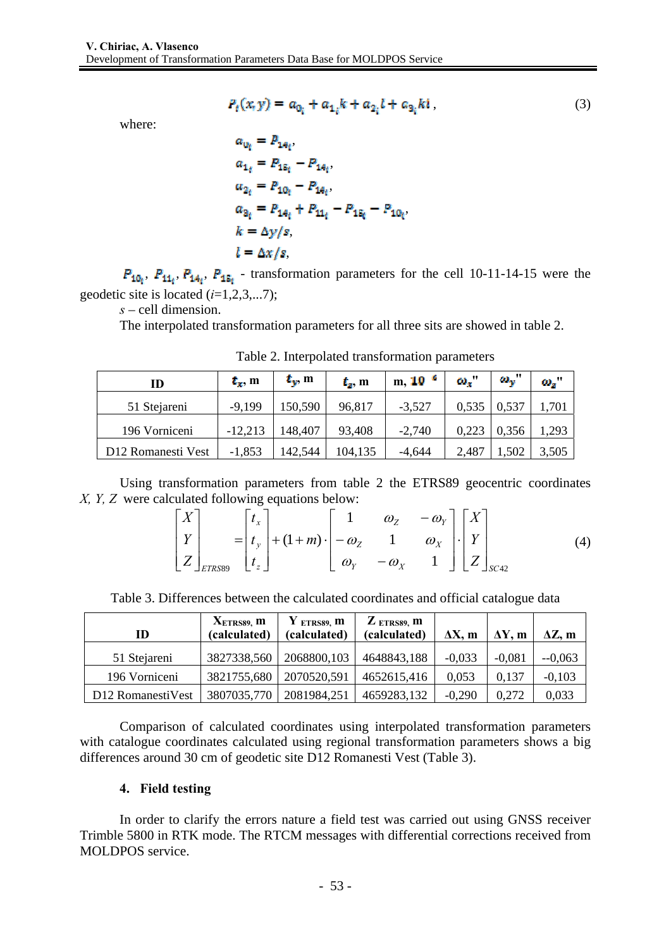where:

$$
P_t(x, y) = a_{0_i} + a_{1_i}k + a_{2_i}l + a_{3_i}k^i,
$$
\n(3)

$$
a_{0i} = P_{1A_i},
$$
  
\n
$$
a_{1i} = P_{1B_i} - P_{1A_i},
$$
  
\n
$$
a_{2i} = P_{10_i} - P_{1A_i},
$$
  
\n
$$
a_{3i} = P_{1A_i} + P_{11_i} - P_{1B_i} - P_{10_i},
$$
  
\n
$$
k = \Delta y / s,
$$
  
\n
$$
l = \Delta x / s,
$$

 $P_{10}$ ,  $P_{11}$ ,  $P_{14}$ ,  $P_{15}$  - transformation parameters for the cell 10-11-14-15 were the geodetic site is located (*i*=1,2,3,...7);

*s* – cell dimension.

The interpolated transformation parameters for all three sits are showed in table 2.

| ID                 | $t_x$ , m | $t_{\rm v}$ , m | $t_{\rm s}$ , m | m, $10^{-6}$ | $\omega_{\rm r}$ | $\omega_{\rm w}$ " | $\omega_z$ |
|--------------------|-----------|-----------------|-----------------|--------------|------------------|--------------------|------------|
| 51 Stejareni       | $-9,199$  | 150,590         | 96,817          | $-3,527$     | 0,535            | 0,537              | 1,701      |
| 196 Vorniceni      | $-12,213$ | 148,407         | 93,408          | $-2,740$     | 0,223            | 0,356              | 1,293      |
| D12 Romanesti Vest | $-1,853$  | 142,544         | 104,135         | $-4,644$     | 2,487            | 1,502              | 3,505      |

Table 2. Interpolated transformation parameters

Using transformation parameters from table 2 the ETRS89 geocentric coordinates *X, Y, Z* were calculated following equations below:

$$
\begin{bmatrix} X \ Y \ Z \end{bmatrix}_{ETRSS} = \begin{bmatrix} t_x \ t_y \ t_z \end{bmatrix} + (1+m) \cdot \begin{bmatrix} 1 & \omega_z & -\omega_y \\ -\omega_z & 1 & \omega_x \\ \omega_y & -\omega_x & 1 \end{bmatrix} \cdot \begin{bmatrix} X \\ Y \\ Z \end{bmatrix}_{SC42}
$$
 (4)

Table 3. Differences between the calculated coordinates and official catalogue data

| ID                | $XETRS89$ , m<br>(calculated) | $Y$ ETRS89, m<br>(calculated) | $Z$ ETRS89, m<br>(calculated) | $\Delta X$ , m | $\Delta Y$ , m | $\Delta Z$ , m |
|-------------------|-------------------------------|-------------------------------|-------------------------------|----------------|----------------|----------------|
| 51 Stejareni      | 3827338,560                   | 2068800,103                   | 4648843,188                   | $-0.033$       | $-0,081$       | $-0,063$       |
| 196 Vorniceni     | 3821755,680                   | 2070520,591                   | 4652615,416                   | 0,053          | 0,137          | $-0,103$       |
| D12 RomanestiVest |                               | 3807035,770   2081984,251     | 4659283,132                   | $-0,290$       | 0.272          | 0,033          |

 Comparison of calculated coordinates using interpolated transformation parameters with catalogue coordinates calculated using regional transformation parameters shows a big differences around 30 cm of geodetic site D12 Romanesti Vest (Table 3).

## **4. Field testing**

In order to clarify the errors nature a field test was carried out using GNSS receiver Trimble 5800 in RTK mode. The RTCM messages with differential corrections received from MOLDPOS service.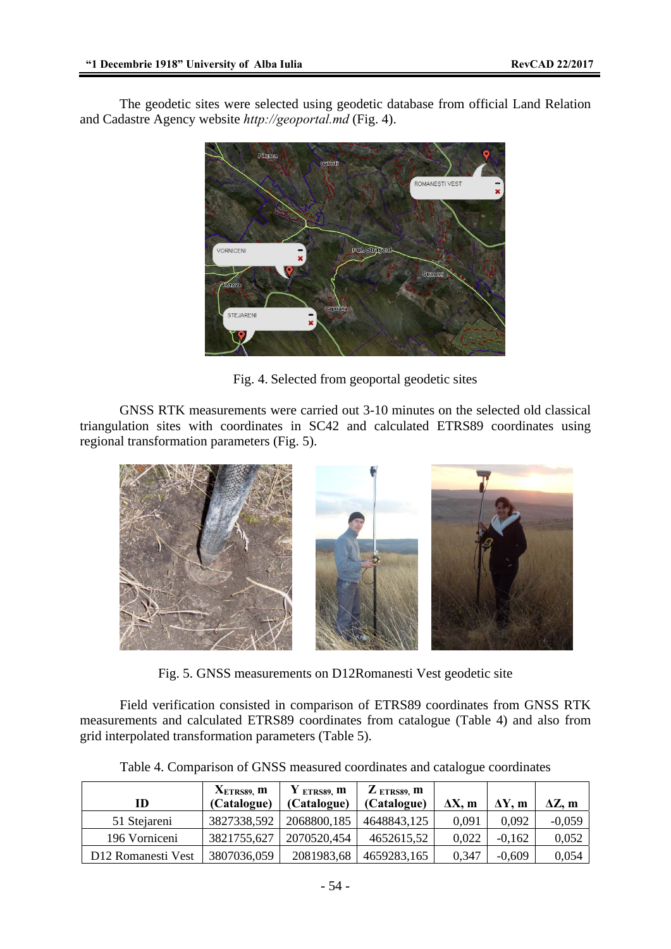The geodetic sites were selected using geodetic database from official Land Relation and Cadastre Agency website *http://geoportal.md* (Fig. 4).



Fig. 4. Selected from geoportal geodetic sites

GNSS RTK measurements were carried out 3-10 minutes on the selected old classical triangulation sites with coordinates in SC42 and calculated ETRS89 coordinates using regional transformation parameters (Fig. 5).



Fig. 5. GNSS measurements on D12Romanesti Vest geodetic site

Field verification consisted in comparison of ETRS89 coordinates from GNSS RTK measurements and calculated ETRS89 coordinates from catalogue (Table 4) and also from grid interpolated transformation parameters (Table 5).

| ID                 | $XETRS89$ , m<br>(Catalogue) | $Y$ ETRS89, m<br>(Catalogue) | $Z$ ETRS89. $m$<br>(Catalogue) | $\Delta X$ , m | $\Delta Y$ , m | $\Delta Z$ , m |
|--------------------|------------------------------|------------------------------|--------------------------------|----------------|----------------|----------------|
| 51 Stejareni       | 3827338,592                  | 2068800,185                  | 4648843,125                    | 0.091          | 0,092          | $-0,059$       |
| 196 Vorniceni      | 3821755,627                  | 2070520,454                  | 4652615,52                     | 0,022          | $-0,162$       | 0,052          |
| D12 Romanesti Vest | 3807036,059                  | 2081983,68                   | 4659283,165                    | 0,347          | $-0.609$       | 0,054          |

Table 4. Comparison of GNSS measured coordinates and catalogue coordinates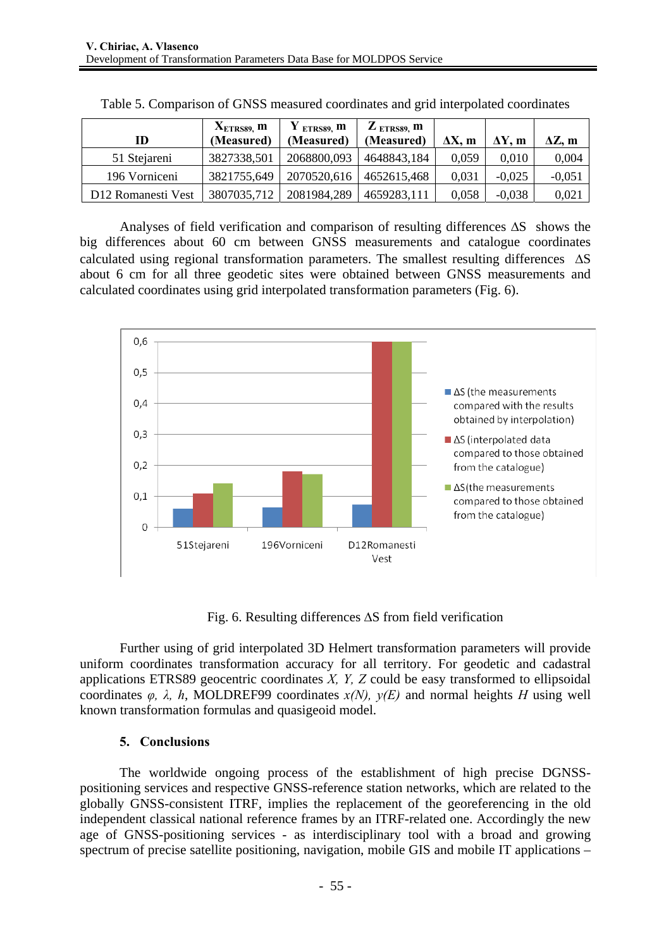|                    | $XETRS89$ , m | $Y_{ETRS89}$ m | $\mathbf{Z}_{\text{ ETRS89}}$ , m |                |                |                |
|--------------------|---------------|----------------|-----------------------------------|----------------|----------------|----------------|
| ID                 | (Measured)    | (Measured)     | (Measured)                        | $\Delta X$ . m | $\Delta Y$ , m | $\Delta Z$ , m |
| 51 Stejareni       | 3827338,501   | 2068800,093    | 4648843,184                       | 0.059          | 0.010          | 0,004          |
| 196 Vorniceni      | 3821755,649   |                | 2070520,616 4652615,468           | 0.031          | $-0.025$       | $-0,051$       |
| D12 Romanesti Vest | 3807035,712   | 2081984,289    | 4659283,111                       | 0,058          | $-0.038$       | 0,021          |

Analyses of field verification and comparison of resulting differences ΔS shows the big differences about 60 cm between GNSS measurements and catalogue coordinates calculated using regional transformation parameters. The smallest resulting differences ΔS about 6 cm for all three geodetic sites were obtained between GNSS measurements and calculated coordinates using grid interpolated transformation parameters (Fig. 6).



Fig. 6. Resulting differences ΔS from field verification

Further using of grid interpolated 3D Helmert transformation parameters will provide uniform coordinates transformation accuracy for all territory. For geodetic and cadastral applications ETRS89 geocentric coordinates *X, Y, Z* could be easy transformed to ellipsoidal coordinates  $\varphi$ ,  $\lambda$ ,  $h$ , MOLDREF99 coordinates  $x(N)$ ,  $y(E)$  and normal heights *H* using well known transformation formulas and quasigeoid model.

## **5. Conclusions**

The worldwide ongoing process of the establishment of high precise DGNSSpositioning services and respective GNSS-reference station networks, which are related to the globally GNSS-consistent ITRF, implies the replacement of the georeferencing in the old independent classical national reference frames by an ITRF-related one. Accordingly the new age of GNSS-positioning services - as interdisciplinary tool with a broad and growing spectrum of precise satellite positioning, navigation, mobile GIS and mobile IT applications –